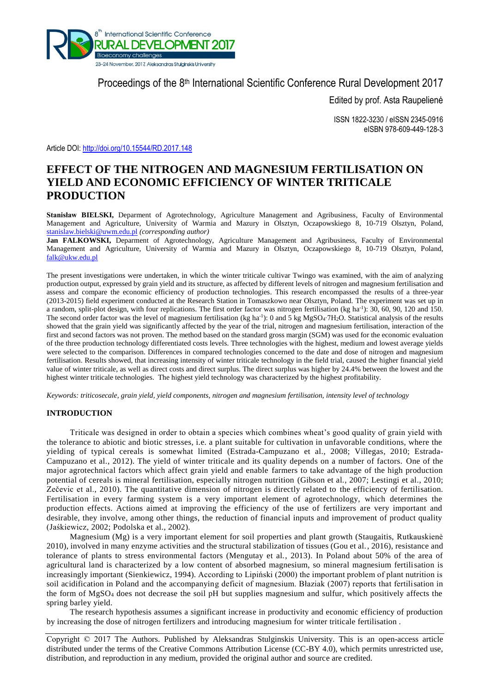

Proceedings of the 8<sup>th</sup> International Scientific Conference Rural Development 2017

Edited by prof. Asta Raupelienė

ISSN 1822-3230 / eISSN 2345-0916 eISBN 978-609-449-128-3

Article DOI:<http://doi.org/10.15544/RD.2017.148>

# **EFFECT OF THE NITROGEN AND MAGNESIUM FERTILISATION ON YIELD AND ECONOMIC EFFICIENCY OF WINTER TRITICALE PRODUCTION**

**Stanisław BIELSKI,** Deparment of Agrotechnology, Agriculture Management and Agribusiness, Faculty of Environmental Management and Agriculture, University of Warmia and Mazury in Olsztyn, Oczapowskiego 8, 10-719 Olsztyn, Poland, [stanislaw.bielski@uwm.edu.pl](mailto:stanislaw.bielski@uwm.edu.pl) *(corresponding author)*

**Jan FALKOWSKI,** Deparment of Agrotechnology, Agriculture Management and Agribusiness, Faculty of Environmental Management and Agriculture, University of Warmia and Mazury in Olsztyn, Oczapowskiego 8, 10-719 Olsztyn, Poland, [falk@ukw.edu.pl](mailto:falk@ukw.edu.pl)

The present investigations were undertaken, in which the winter triticale cultivar Twingo was examined, with the aim of analyzing production output, expressed by grain yield and its structure, as affected by different levels of nitrogen and magnesium fertilisation and assess and compare the economic efficiency of production technologies. This research encompassed the results of a three-year (2013-2015) field experiment conducted at the Research Station in Tomaszkowo near Olsztyn, Poland. The experiment was set up in a random, split-plot design, with four replications. The first order factor was nitrogen fertilisation (kg ha<sup>-1</sup>): 30, 60, 90, 120 and 150. The second order factor was the level of magnesium fertilisation (kg ha<sup>-1</sup>): 0 and 5 kg MgSO4⋅7H2O. Statistical analysis of the results showed that the grain yield was significantly affected by the year of the trial, nitrogen and magnesium fertilisation, interaction of the first and second factors was not proven. The method based on the standard gross margin (SGM) was used for the economic evaluation of the three production technology differentiated costs levels. Three technologies with the highest, medium and lowest average yields were selected to the comparison. Differences in compared technologies concerned to the date and dose of nitrogen and magnesium fertilisation. Results showed, that increasing intensity of winter triticale technology in the field trial, caused the higher financial yield value of winter triticale, as well as direct costs and direct surplus. The direct surplus was higher by 24.4% between the lowest and the highest winter triticale technologies. The highest yield technology was characterized by the highest profitability.

*Keywords: triticosecale, grain yield, yield components, nitrogen and magnesium fertilisation, intensity level of technology*

## **INTRODUCTION**

Triticale was designed in order to obtain a species which combines wheat's good quality of grain yield with the tolerance to abiotic and biotic stresses, i.e. a plant suitable for cultivation in unfavorable conditions, where the yielding of typical cereals is somewhat limited (Estrada-Campuzano et al., 2008; Villegas, 2010; Estrada-Campuzano et al., 2012). The yield of winter triticale and its quality depends on a number of factors. One of the major agrotechnical factors which affect grain yield and enable farmers to take advantage of the high production potential of cereals is mineral fertilisation, especially nitrogen nutrition (Gibson et al., 2007; Lestingi et al., 2010; Zečevic et al., 2010). The quantitative dimension of nitrogen is directly related to the efficiency of fertilisation. Fertilisation in every farming system is a very important element of agrotechnology, which determines the production effects. Actions aimed at improving the efficiency of the use of fertilizers are very important and desirable, they involve, among other things, the reduction of financial inputs and improvement of product quality (Jaśkiewicz, 2002; Podolska et al., 2002).

Magnesium (Mg) is a very important element for soil properties and plant growth (Staugaitis, Rutkauskienė 2010), involved in many enzyme activities and the structural stabilization of tissues (Gou et al., 2016), resistance and tolerance of plants to stress environmental factors (Mengutay et al., 2013). In Poland about 50% of the area of agricultural land is characterized by a low content of absorbed magnesium, so mineral magnesium fertilisation is increasingly important (Sienkiewicz, 1994). According to Lipiński (2000) the important problem of plant nutrition is soil acidification in Poland and the accompanying deficit of magnesium. Błaziak (2007) reports that fertilisation in the form of MgSO<sup>4</sup> does not decrease the soil pH but supplies magnesium and sulfur, which positively affects the spring barley yield.

The research hypothesis assumes a significant increase in productivity and economic efficiency of production by increasing the dose of nitrogen fertilizers and introducing magnesium for winter triticale fertilisation .

Copyright © 2017 The Authors. Published by Aleksandras Stulginskis University. This is an open-access article distributed under the terms of the Creative Commons Attribution License (CC-BY 4.0), which permits unrestricted use, distribution, and reproduction in any medium, provided the original author and source are credited.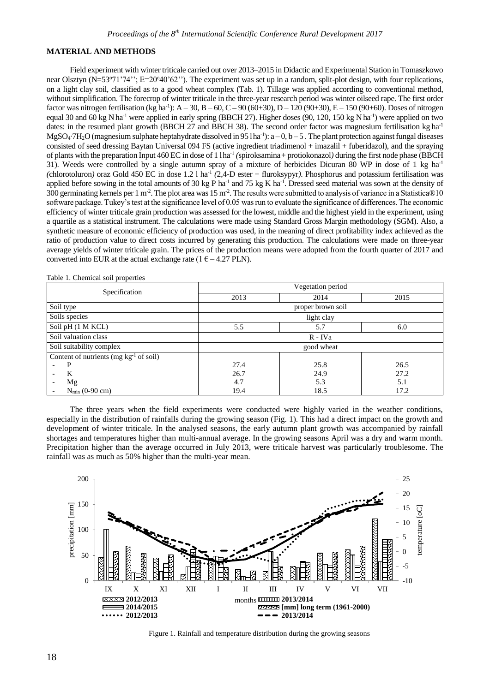### **MATERIAL AND METHODS**

Field experiment with winter triticale carried out over 2013–2015 in Didactic and Experimental Station in Tomaszkowo near Olsztyn (N=53°71'74''; E=20°40'62''). The experiment was set up in a random, split-plot design, with four replications, on a light clay soil, classified as to a good wheat complex (Tab. 1). Tillage was applied according to conventional method, without simplification. The forecrop of winter triticale in the three-year research period was winter oilseed rape. The first order factor was nitrogen fertilisation (kg ha<sup>-1</sup>): A – 30, B – 60, C – 90 (60+30), D – 120 (90+30), E – 150 (90+60). Doses of nitrogen equal 30 and 60 kg N ha<sup>-1</sup> were applied in early spring (BBCH 27). Higher doses (90, 120, 150 kg N ha<sup>-1</sup>) were applied on two dates: in the resumed plant growth (BBCH 27 and BBCH 38). The second order factor was magnesium fertilisation kg ha<sup>-1</sup> MgSO<sub>4</sub>⋅7H<sub>2</sub>O (magnesium sulphate heptahydrate dissolved in 95 lha-<sup>1</sup>): a – 0, b – 5. The plant protection against fungal diseases consisted of seed dressing Baytan Universal 094 FS (active ingredient triadimenol + imazalil + fuberidazol), and the spraying of plants with the preparation Input 460 EC in dose of 1 lha-1 *(*spiroksamina+ protiokonazol*)* during the first node phase (BBCH 31). Weeds were controlled by a single autumn spray of a mixture of herbicides Dicuran 80 WP in dose of 1 kg ha<sup>-1</sup> (chlorotoluron) oraz Gold 450 EC in dose 1.2 l ha<sup>-1</sup> (2,4-D ester + fluroksypyr). Phosphorus and potassium fertilisation was applied before sowing in the total amounts of 30 kg P ha<sup>-1</sup> and 75 kg K ha<sup>-1</sup>. Dressed seed material was sown at the density of 300 germinating kernels per 1 m<sup>-2</sup>. The plot area was 15 m<sup>-2</sup>. The results were submitted to analysis of variance in a Statistica®10 software package. Tukey's test at the significance level of 0.05 was run to evaluate the significance of differences. The economic efficiency of winter triticale grain production was assessed for the lowest, middle and the highest yield in the experiment, using a quartile as a statistical instrument. The calculations were made using Standard Gross Margin methodology (SGM). Also, a synthetic measure of economic efficiency of production was used, in the meaning of direct profitability index achieved as the ratio of production value to direct costs incurred by generating this production. The calculations were made on three-year average yields of winter triticale grain. The prices of the production means were adopted from the fourth quarter of 2017 and converted into EUR at the actual exchange rate  $(1 \epsilon - 4.27 \text{ PLN})$ .

| Specification                                          | Vegetation period |      |      |  |  |
|--------------------------------------------------------|-------------------|------|------|--|--|
|                                                        | 2013              | 2014 | 2015 |  |  |
| Soil type                                              | proper brown soil |      |      |  |  |
| Soils species                                          | light clay        |      |      |  |  |
| Soil pH (1 M KCL)                                      | 5.5               | 5.7  | 6.0  |  |  |
| Soil valuation class                                   | $R$ - IVa         |      |      |  |  |
| Soil suitability complex                               | good wheat        |      |      |  |  |
| Content of nutrients (mg $kg^{-1}$ of soil)            |                   |      |      |  |  |
| P<br>$\overline{\phantom{a}}$                          | 27.4              | 25.8 | 26.5 |  |  |
| K<br>$\overline{\phantom{0}}$                          | 26.7              | 24.9 | 27.2 |  |  |
| Mg<br>$\overline{\phantom{a}}$                         | 4.7               | 5.3  | 5.1  |  |  |
| $N_{\text{min}}$ (0-90 cm)<br>$\overline{\phantom{a}}$ | 19.4              | 18.5 | 17.2 |  |  |

Table 1. Chemical soil properties

The three years when the field experiments were conducted were highly varied in the weather conditions, especially in the distribution of rainfalls during the growing season (Fig. 1). This had a direct impact on the growth and development of winter triticale. In the analysed seasons, the early autumn plant growth was accompanied by rainfall shortages and temperatures higher than multi-annual average. In the growing seasons April was a dry and warm month. Precipitation higher than the average occurred in July 2013, were triticale harvest was particularly troublesome. The rainfall was as much as 50% higher than the multi-year mean.



Figure 1. Rainfall and temperature distribution during the growing seasons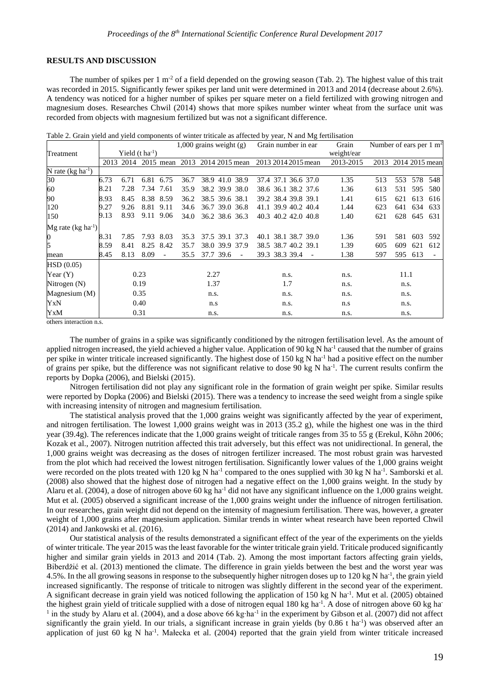## **RESULTS AND DISCUSSION**

The number of spikes per 1 m<sup>-2</sup> of a field depended on the growing season (Tab. 2). The highest value of this trait was recorded in 2015. Significantly fewer spikes per land unit were determined in 2013 and 2014 (decrease about 2.6%). A tendency was noticed for a higher number of spikes per square meter on a field fertilized with growing nitrogen and magnesium doses. Researches Chwil (2014) shows that more spikes number winter wheat from the surface unit was recorded from objects with magnesium fertilized but was not a significant difference.

Table 2. Grain yield and yield components of winter triticale as affected by year, N and Mg fertilisation

|                                | $1,000$ grains weight $(g)$ |                             | Grain number in ear | Grain                    | Number of ears per $1 \text{ m}^2$ |                               |                        |            |      |      |                |     |
|--------------------------------|-----------------------------|-----------------------------|---------------------|--------------------------|------------------------------------|-------------------------------|------------------------|------------|------|------|----------------|-----|
| Treatment                      |                             | Yield $(t \text{ ha}^{-1})$ |                     |                          |                                    |                               |                        | weight/ear |      |      |                |     |
|                                | 2013                        | 2014                        |                     |                          |                                    | 2015 mean 2013 2014 2015 mean | 2013 2014 2015 mean    | 2013-2015  | 2013 |      | 2014 2015 mean |     |
| N rate ( $kg \, ha^{-1}$ )     |                             |                             |                     |                          |                                    |                               |                        |            |      |      |                |     |
| 30                             | 6.73                        | 6.71                        | 6.81                | 6.75                     | 36.7                               | 41.0 38.9<br>38.9             | 37.4 37.1 36.6 37.0    | 1.35       | 513  | 553  | 578            | 548 |
| 60                             | 8.21                        | 7.28                        | 7.34                | 7.61                     | 35.9                               | 38.2 39.9 38.0                | 38.6 36.1 38.2 37.6    | 1.36       | 613  | 531  | 595            | 580 |
| 90                             | 8.93                        | 8.45                        | 8.38 8.59           |                          | 36.2                               | 38.5 39.6 38.1                | 39.2 38.4 39.8 39.1    | 1.41       | 615  | 621  | 613            | 616 |
| 120                            | 9.27                        | 9.26                        | 8.81 9.11           |                          | 34.6                               | 36.7 39.0 36.8                | 41.1 39.9 40.2 40.4    | 1.44       | 623  | 641  | 634            | 633 |
| 150                            | 9.13                        | 8.93                        | 9.11 9.06           |                          | 34.0                               | 36.2 38.6 36.3                | 40.3 40.2 42.0 40.8    | 1.40       | 621  | 628  | 645            | 631 |
| Mg rate (kg ha <sup>-1</sup> ) |                             |                             |                     |                          |                                    |                               |                        |            |      |      |                |     |
| 0                              | 8.31                        | 7.85                        | 7.93                | 8.03                     | 35.3                               | 37.5 39.1 37.3                | 38.1 38.7 39.0<br>40.1 | 1.36       | 591  | 581  | 603            | 592 |
| 5                              | 8.59                        | 8.41                        | 8.25 8.42           |                          | 35.7                               | 38.0 39.9 37.9                | 38.5 38.7 40.2 39.1    | 1.39       | 605  | 609  | 621            | 612 |
| mean                           | 8.45                        | 8.13                        | 8.09                | $\overline{\phantom{a}}$ | 35.5                               | 37.7 39.6                     | 39.3 38.3 39.4         | 1.38       | 597  | 595  | 613            |     |
| HSD(0.05)                      |                             |                             |                     |                          |                                    |                               |                        |            |      |      |                |     |
| Year $(Y)$                     |                             |                             | 0.23                |                          |                                    | 2.27                          | n.s.                   | n.s.       |      | 11.1 |                |     |
| Nitrogen (N)                   |                             |                             | 0.19                |                          |                                    | 1.37                          | 1.7                    | n.s.       |      | n.s. |                |     |
| Magnesium (M)                  | 0.35                        |                             |                     |                          | n.s.                               | n.s.                          | n.s.                   |            | n.s. |      |                |     |
| YxN                            |                             |                             | 0.40                |                          |                                    | n.s                           | n.s.                   | n.s        |      | n.s. |                |     |
| YxM                            |                             |                             | 0.31                |                          |                                    | n.s.                          | n.s.                   | n.s.       |      | n.s. |                |     |

others interaction n.s.

The number of grains in a spike was significantly conditioned by the nitrogen fertilisation level. As the amount of applied nitrogen increased, the yield achieved a higher value. Application of 90 kg N ha<sup>-1</sup> caused that the number of grains per spike in winter triticale increased significantly. The highest dose of 150 kg N ha<sup>-1</sup> had a positive effect on the number of grains per spike, but the difference was not significant relative to dose 90 kg N ha<sup>-1</sup>. The current results confirm the reports by Dopka (2006), and Bielski (2015).

Nitrogen fertilisation did not play any significant role in the formation of grain weight per spike. Similar results were reported by Dopka (2006) and Bielski (2015). There was a tendency to increase the seed weight from a single spike with increasing intensity of nitrogen and magnesium fertilisation.

The statistical analysis proved that the 1,000 grains weight was significantly affected by the year of experiment, and nitrogen fertilisation. The lowest 1,000 grains weight was in 2013 (35.2 g), while the highest one was in the third year (39.4g). The references indicate that the 1,000 grains weight of triticale ranges from 35 to 55 g (Erekul, Köhn 2006; Kozak et al., 2007). Nitrogen nutrition affected this trait adversely, but this effect was not unidirectional. In general, the 1,000 grains weight was decreasing as the doses of nitrogen fertilizer increased. The most robust grain was harvested from the plot which had received the lowest nitrogen fertilisation. Significantly lower values of the 1,000 grains weight were recorded on the plots treated with 120 kg N ha<sup>-1</sup> compared to the ones supplied with 30 kg N ha<sup>-1</sup>. Samborski et al. (2008) also showed that the highest dose of nitrogen had a negative effect on the 1,000 grains weight. In the study by Alaru et al. (2004), a dose of nitrogen above 60 kg ha<sup>-1</sup> did not have any significant influence on the 1,000 grains weight. Mut et al. (2005) observed a significant increase of the 1,000 grains weight under the influence of nitrogen fertilisation. In our researches, grain weight did not depend on the intensity of magnesium fertilisation. There was, however, a greater weight of 1,000 grains after magnesium application. Similar trends in winter wheat research have been reported Chwil (2014) and Jankowski et al. (2016).

Our statistical analysis of the results demonstrated a significant effect of the year of the experiments on the yields of winter triticale. The year 2015 was the least favorable for the winter triticale grain yield. Triticale produced significantly higher and similar grain yields in 2013 and 2014 (Tab. 2). Among the most important factors affecting grain yields, Biberdžić et al. (2013) mentioned the climate. The difference in grain yields between the best and the worst year was 4.5%. In the all growing seasons in response to the subsequently higher nitrogen doses up to 120 kg N ha<sup>-1</sup>, the grain yield increased significantly. The response of triticale to nitrogen was slightly different in the second year of the experiment. A significant decrease in grain yield was noticed following the application of 150 kg N ha<sup>-1</sup>. Mut et al. (2005) obtained the highest grain yield of triticale supplied with a dose of nitrogen equal 180 kg ha<sup>-1</sup>. A dose of nitrogen above 60 kg ha<sup>-1</sup> 1 in the study by Alaru et al. (2004), and a dose above 66 kg∙ha-1 in the experiment by Gibson et al. (2007) did not affect significantly the grain yield. In our trials, a significant increase in grain yields (by  $0.86$  t ha<sup>-1</sup>) was observed after an application of just 60 kg N ha<sup>-1</sup>. Małecka et al. (2004) reported that the grain yield from winter triticale increased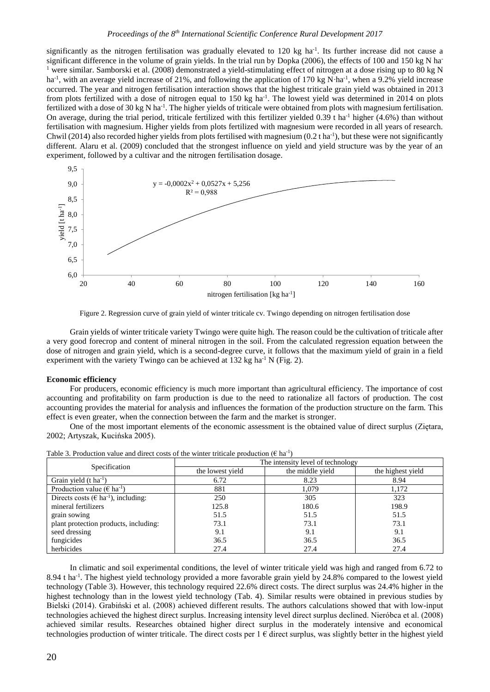#### *Proceedings of the 8th International Scientific Conference Rural Development 2017*

significantly as the nitrogen fertilisation was gradually elevated to  $120 \text{ kg}$  ha<sup>-1</sup>. Its further increase did not cause a significant difference in the volume of grain yields. In the trial run by Dopka (2006), the effects of 100 and 150 kg N ha-<sup>1</sup> were similar. Samborski et al. (2008) demonstrated a yield-stimulating effect of nitrogen at a dose rising up to 80 kg N ha<sup>-1</sup>, with an average yield increase of 21%, and following the application of 170 kg N⋅ha<sup>-1</sup>, when a 9.2% yield increase occurred. The year and nitrogen fertilisation interaction shows that the highest triticale grain yield was obtained in 2013 from plots fertilized with a dose of nitrogen equal to 150 kg ha<sup>-1</sup>. The lowest yield was determined in 2014 on plots fertilized with a dose of 30 kg N ha<sup>-1</sup>. The higher yields of triticale were obtained from plots with magnesium fertilisation. On average, during the trial period, triticale fertilized with this fertilizer yielded 0.39 t ha<sup>-1</sup> higher  $(4.6%)$  than without fertilisation with magnesium. Higher yields from plots fertilized with magnesium were recorded in all years of research. Chwil (2014) also recorded higher yields from plots fertilised with magnesium  $(0.2 \text{ tha}^{-1})$ , but these were not significantly different. Alaru et al. (2009) concluded that the strongest influence on yield and yield structure was by the year of an experiment, followed by a cultivar and the nitrogen fertilisation dosage.



Figure 2. Regression curve of grain yield of winter triticale cv. Twingo depending on nitrogen fertilisation dose

Grain yields of winter triticale variety Twingo were quite high. The reason could be the cultivation of triticale after a very good forecrop and content of mineral nitrogen in the soil. From the calculated regression equation between the dose of nitrogen and grain yield, which is a second-degree curve, it follows that the maximum yield of grain in a field experiment with the variety Twingo can be achieved at  $132 \text{ kg}$  ha<sup>-1</sup> N (Fig. 2).

#### **Economic efficiency**

For producers, economic efficiency is much more important than agricultural efficiency. The importance of cost accounting and profitability on farm production is due to the need to rationalize all factors of production. The cost accounting provides the material for analysis and influences the formation of the production structure on the farm. This effect is even greater, when the connection between the farm and the market is stronger.

One of the most important elements of the economic assessment is the obtained value of direct surplus (Ziętara, 2002; Artyszak, Kucińska 2005).

|                                                      | The intensity level of technology |                  |                   |  |  |
|------------------------------------------------------|-----------------------------------|------------------|-------------------|--|--|
| Specification                                        | the lowest yield                  | the middle yield | the highest yield |  |  |
| Grain yield $(t \, ha^{-1})$                         | 6.72                              | 8.23             | 8.94              |  |  |
| Production value ( $\epsilon$ ha <sup>-1</sup> )     | 881                               | 1.079            | 1.172             |  |  |
| Directs costs ( $\in$ ha <sup>-1</sup> ), including: | 250                               | 305              | 323               |  |  |
| mineral fertilizers                                  | 125.8                             | 180.6            | 198.9             |  |  |
| grain sowing                                         | 51.5                              | 51.5             | 51.5              |  |  |
| plant protection products, including:                | 73.1                              | 73.1             | 73.1              |  |  |
| seed dressing                                        | 9.1                               | 9.1              | 9.1               |  |  |
| fungicides                                           | 36.5                              | 36.5             | 36.5              |  |  |
| herbicides                                           | 27.4                              | 27.4             | 27.4              |  |  |

Table 3. Production value and direct costs of the winter triticale production ( $\epsilon$  ha<sup>-1</sup>)

In climatic and soil experimental conditions, the level of winter triticale yield was high and ranged from 6.72 to 8.94 t ha<sup>-1</sup>. The highest yield technology provided a more favorable grain yield by 24.8% compared to the lowest yield technology (Table 3). However, this technology required 22.6% direct costs. The direct surplus was 24.4% higher in the highest technology than in the lowest yield technology (Tab. 4). Similar results were obtained in previous studies by Bielski (2014). Grabiński et al. (2008) achieved different results. The authors calculations showed that with low-input technologies achieved the highest direct surplus. Increasing intensity level direct surplus declined. Nieróbca et al. (2008) achieved similar results. Researches obtained higher direct surplus in the moderately intensive and economical technologies production of winter triticale. The direct costs per  $1 \in$  direct surplus, was slightly better in the highest yield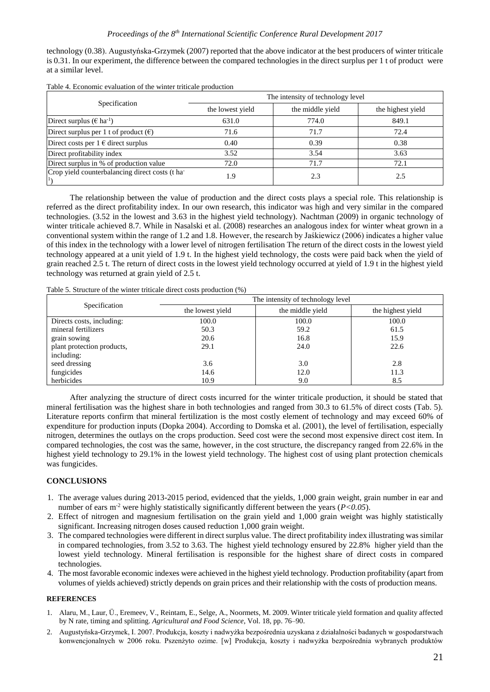technology (0.38). Augustyńska-Grzymek (2007) reported that the above indicator at the best producers of winter triticale is 0.31. In our experiment, the difference between the compared technologies in the direct surplus per 1 t of product were at a similar level.

|                                                 | The intensity of technology level |                  |                   |  |  |
|-------------------------------------------------|-----------------------------------|------------------|-------------------|--|--|
| Specification                                   | the lowest yield                  | the middle yield | the highest yield |  |  |
| Direct surplus ( $\epsilon$ ha <sup>-1</sup> )  | 631.0                             | 774.0            | 849.1             |  |  |
| Direct surplus per 1 t of product $(\epsilon)$  | 71.6                              | 71.7             | 72.4              |  |  |
| Direct costs per $1 \in$ direct surplus         | 0.40                              | 0.39             | 0.38              |  |  |
| Direct profitability index                      | 3.52                              | 3.54             | 3.63              |  |  |
| Direct surplus in % of production value         | 72.0                              | 71.7             | 72.1              |  |  |
| Crop yield counterbalancing direct costs (t ha- | 1.9                               | 2.3              | 2.5               |  |  |

Table 4. Economic evaluation of the winter triticale production

The relationship between the value of production and the direct costs plays a special role. This relationship is referred as the direct profitability index. In our own research, this indicator was high and very similar in the compared technologies. (3.52 in the lowest and 3.63 in the highest yield technology). Nachtman (2009) in organic technology of winter triticale achieved 8.7. While in Nasalski et al. (2008) researches an analogous index for winter wheat grown in a conventional system within the range of 1.2 and 1.8. However, the research by Jaśkiewicz (2006) indicates a higher value of this index in the technology with a lower level of nitrogen fertilisation The return of the direct costs in the lowest yield technology appeared at a unit yield of 1.9 t. In the highest yield technology, the costs were paid back when the yield of grain reached 2.5 t. The return of direct costs in the lowest yield technology occurred at yield of 1.9 t in the highest yield technology was returned at grain yield of 2.5 t.

Table 5. Structure of the winter triticale direct costs production (%)

|                            | The intensity of technology level |                  |                   |  |  |
|----------------------------|-----------------------------------|------------------|-------------------|--|--|
| Specification              | the lowest yield                  | the middle yield | the highest yield |  |  |
| Directs costs, including:  | 100.0                             | 100.0            | 100.0             |  |  |
| mineral fertilizers        | 50.3                              | 59.2             | 61.5              |  |  |
| grain sowing               | 20.6                              | 16.8             | 15.9              |  |  |
| plant protection products, | 29.1                              | 24.0             | 22.6              |  |  |
| including:                 |                                   |                  |                   |  |  |
| seed dressing              | 3.6                               | 3.0              | 2.8               |  |  |
| fungicides                 | 14.6                              | 12.0             | 11.3              |  |  |
| herbicides                 | 10.9                              | 9.0              | 8.5               |  |  |

After analyzing the structure of direct costs incurred for the winter triticale production, it should be stated that mineral fertilisation was the highest share in both technologies and ranged from 30.3 to 61.5% of direct costs (Tab. 5). Literature reports confirm that mineral fertilization is the most costly element of technology and may exceed 60% of expenditure for production inputs (Dopka 2004). According to Domska et al. (2001), the level of fertilisation, especially nitrogen, determines the outlays on the crops production. Seed cost were the second most expensive direct cost item. In compared technologies, the cost was the same, however, in the cost structure, the discrepancy ranged from 22.6% in the highest yield technology to 29.1% in the lowest yield technology. The highest cost of using plant protection chemicals was fungicides.

## **CONCLUSIONS**

- 1. The average values during 2013-2015 period, evidenced that the yields, 1,000 grain weight, grain number in ear and number of ears m<sup>-2</sup> were highly statistically significantly different between the years (*P*<0.05).
- 2. Effect of nitrogen and magnesium fertilisation on the grain yield and 1,000 grain weight was highly statistically significant. Increasing nitrogen doses caused reduction 1,000 grain weight.
- 3. The compared technologies were different in direct surplus value. The direct profitability index illustrating was similar in compared technologies, from 3.52 to 3.63. The highest yield technology ensured by 22.8% higher yield than the lowest yield technology. Mineral fertilisation is responsible for the highest share of direct costs in compared technologies.
- 4. The most favorable economic indexes were achieved in the highest yield technology. Production profitability (apart from volumes of yields achieved) strictly depends on grain prices and their relationship with the costs of production means.

#### **REFERENCES**

- 1. Alaru, M., Laur, Ü., Eremeev, V., Reintam, E., Selge, A., Noormets, M. 2009. Winter triticale yield formation and quality affected by N rate, timing and splitting. *Agricultural and Food Science*, Vol. 18, pp. 76–90.
- 2. Augustyńska-Grzymek, I. 2007. Produkcja, koszty i nadwyżka bezpośrednia uzyskana z działalności badanych w gospodarstwach konwencjonalnych w 2006 roku. Pszenżyto ozime. [w] Produkcja, koszty i nadwyżka bezpośrednia wybranych produktów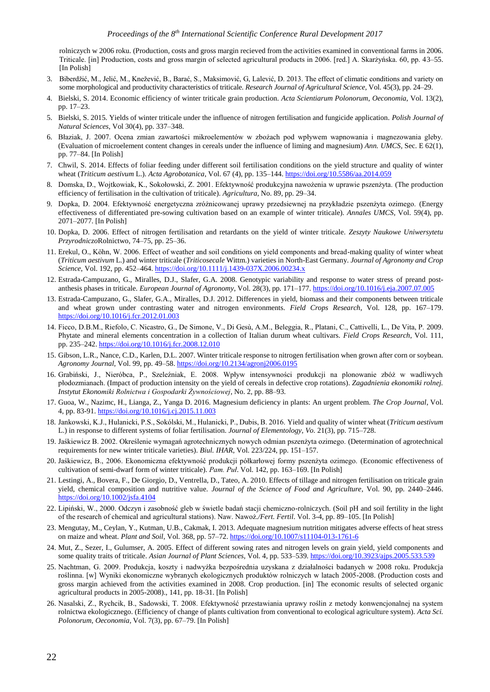rolniczych w 2006 roku. (Production, costs and gross margin recieved from the activities examined in conventional farms in 2006. Triticale. [in] Production, costs and gross margin of selected agricultural products in 2006. [red.] A. Skarżyńska. 60, pp. 43–55. [In Polish]

- 3. Biberdžić, M., Jelić, M., Knežević, B., Barać, S., Maksimović, G, Lalević, D. 2013. The effect of climatic conditions and variety on some morphological and productivity characteristics of triticale. *Research Journal of Agricultural Science*, Vol. 45(3), pp. 24–29.
- 4. Bielski, S. 2014. Economic efficiency of winter triticale grain production. *Acta Scientiarum Polonorum*, *Oeconomia*, Vol. 13(2), pp. 17–23.
- 5. Bielski, S. 2015. Yields of winter triticale under the influence of nitrogen fertilisation and fungicide application. *Polish Journal of Natural Sciences*, Vol 30(4), pp. 337–348.
- 6. Błaziak, J. 2007. Ocena zmian zawartości mikroelementów w zbożach pod wpływem wapnowania i magnezowania gleby. (Evaluation of microelement content changes in cereals under the influence of liming and magnesium) *Ann. UMCS*, Sec. E 62(1), pp. 77–84. [In Polish]
- 7. Chwil, S. 2014. Effects of foliar feeding under different soil fertilisation conditions on the yield structure and quality of winter wheat (*Triticum aestivum* L.). *Acta Agrobotanica*, Vol. 67 (4), pp. 135–144. <https://doi.org/10.5586/aa.2014.059>
- 8. Domska, D., Wojtkowiak, K., Sokołowski, Z. 2001. Efektywność produkcyjna nawożenia w uprawie pszenżyta. (The production efficiency of fertilisation in the cultivation of triticale). *Agricultura,* No. 89, pp. 29–34.
- 9. Dopka, D. 2004. Efektywność energetyczna zróżnicowanej uprawy przedsiewnej na przykładzie pszenżyta ozimego. (Energy effectiveness of differentiated pre-sowing cultivation based on an example of winter triticale). *Annales UMCS*, Vol. 59(4), pp. 2071–2077. [In Polish]
- 10. Dopka, D. 2006. Effect of nitrogen fertilisation and retardants on the yield of winter triticale. *Zeszyty Naukowe Uniwersytetu Przyrodniczo*Rolnictwo, 74–75, pp. 25–36.
- 11. Erekul, O., Köhn, W. 2006. Effect of weather and soil conditions on yield components and bread-making quality of winter wheat (*Triticum aestivum* L.) and winter triticale (*Triticosecale* Wittm.) varieties in North-East Germany. *Journal of Agronomy and Crop Science*, Vol. 192, pp. 452–464. <https://doi.org/10.1111/j.1439-037X.2006.00234.x>
- 12. Estrada-Campuzano, G., Miralles, D.J., Slafer, G.A. 2008. Genotypic variability and response to water stress of preand postanthesis phases in triticale. *European Journal of Agronomy*, Vol. 28(3), pp. 171–177. <https://doi.org/10.1016/j.eja.2007.07.005>
- 13. Estrada-Campuzano, G., Slafer, G.A., Miralles, D.J. 2012. Differences in yield, biomass and their components between triticale and wheat grown under contrasting water and nitrogen environments. *Field Crops Research*, Vol. 128, pp. 167–179. <https://doi.org/10.1016/j.fcr.2012.01.003>
- 14. Ficco, D.B.M., Riefolo, C. Nicastro, G., De Simone, V., Di Gesù, A.M., Beleggia, R., Platani, C., Cattivelli, L., De Vita, P. 2009. Phytate and mineral elements concentration in a collection of Italian durum wheat cultivars. *Field Crops Research*, Vol. 111, pp. 235–242. <https://doi.org/10.1016/j.fcr.2008.12.010>
- 15. Gibson, L.R., Nance, C.D., Karlen, D.L. 2007. Winter triticale response to nitrogen fertilisation when grown after corn or soybean. *Agronomy Journal*, Vol. 99, pp. 49–58. <https://doi.org/10.2134/agronj2006.0195>
- 16. Grabiński, J., Nieróbca, P., Szeleźniak, E. 2008. Wpływ intensywności produkcji na plonowanie zbóż w wadliwych płodozmianach. (Impact of production intensity on the yield of cereals in defective crop rotations). *Zagadnienia ekonomiki rolnej. Instytut Ekonomiki Rolnictwa i Gospodarki Żywnościowej,* No. 2, pp. 88–93.
- 17. Guoa, W., Nazimc, H., Lianga, Z., Yanga D. 2016. Magnesium deficiency in plants: An urgent problem. *The Crop Journal*, Vol. 4, pp. 83-91. <https://doi.org/10.1016/j.cj.2015.11.003>
- 18. Jankowski, K.J., Hulanicki, P.S., Sokólski, M., Hulanicki, P., Dubis, B. 2016. Yield and quality of winter wheat (*Triticum aestivum* L.) in response to different systems of foliar fertilisation. *Journal of Elementology, Vo.* 21(3), pp. 715–728.
- 19. Jaśkiewicz B. 2002. Określenie wymagań agrotechnicznych nowych odmian pszenżyta ozimego. (Determination of agrotechnical requirements for new winter triticale varieties). *Biul. IHAR,* Vol. 223/224, pp. 151–157.
- 20. Jaśkiewicz, B., 2006. Ekonomiczna efektywność produkcji półkarłowej formy pszenżyta ozimego. (Economic effectiveness of cultivation of semi-dwarf form of winter triticale). *Pam. Puł*. Vol. 142, pp. 163–169. [In Polish]
- 21. Lestingi, A., Bovera, F., De Giorgio, D., Ventrella, D., Tateo, A. 2010. Effects of tillage and nitrogen fertilisation on triticale grain yield, chemical composition and nutritive value. *Journal of the Science of Food and Agriculture*, Vol. 90, pp. 2440–2446. <https://doi.org/10.1002/jsfa.4104>
- 22. Lipiński, W., 2000. Odczyn i zasobność gleb w świetle badań stacji chemiczno-rolniczych. (Soil pH and soil fertility in the light of the research of chemical and agricultural stations). Naw. Nawoż*./Fert. Fertil*. Vol. 3-4, pp. 89–105. [In Polish]
- 23. Mengutay, M., Ceylan, Y., Kutman, U.B., Cakmak, I. 2013. Adequate magnesium nutrition mitigates adverse effects of heat stress on maize and wheat. *Plant and Soil*, Vol. 368, pp. 57–72. <https://doi.org/10.1007/s11104-013-1761-6>
- 24. Mut, Z., Sezer, I., Gulumser, A. 2005. Effect of different sowing rates and nitrogen levels on grain yield, yield components and some quality traits of triticale. *Asian Journal of Plant Sciences*, Vol. 4, pp. 533–539. <https://doi.org/10.3923/ajps.2005.533.539>
- 25. Nachtman, G. 2009. Produkcja, koszty i nadwyżka bezpośrednia uzyskana z działalności badanych w 2008 roku. Produkcja roślinna. [w] Wyniki ekonomiczne wybranych ekologicznych produktów rolniczych w latach 2005-2008. (Production costs and gross margin achieved from the activities examined in 2008. Crop production. [in] The economic results of selected organic agricultural products in 2005-2008)., 141, pp. 18-31. [In Polish]
- 26. Nasalski, Z., Rychcik, B., Sadowski, T. 2008. Efektywność przestawiania uprawy roślin z metody konwencjonalnej na system rolnictwa ekologicznego. (Efficiency of change of plants cultivation from conventional to ecological agriculture system). *Acta Sci. Polonorum, Oeconomia,* Vol. 7(3), pp. 67–79. [In Polish]